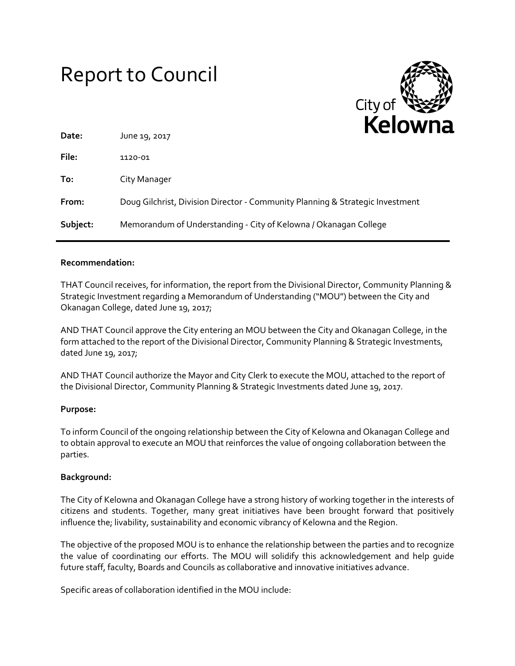# Report to Council



| Date:    | June 19, 2017                                                                 |
|----------|-------------------------------------------------------------------------------|
| File:    | 1120-01                                                                       |
| To:      | City Manager                                                                  |
| From:    | Doug Gilchrist, Division Director - Community Planning & Strategic Investment |
| Subject: | Memorandum of Understanding - City of Kelowna / Okanagan College              |

### **Recommendation:**

THAT Council receives, for information, the report from the Divisional Director, Community Planning & Strategic Investment regarding a Memorandum of Understanding ("MOU") between the City and Okanagan College, dated June 19, 2017;

AND THAT Council approve the City entering an MOU between the City and Okanagan College, in the form attached to the report of the Divisional Director, Community Planning & Strategic Investments, dated June 19, 2017;

AND THAT Council authorize the Mayor and City Clerk to execute the MOU, attached to the report of the Divisional Director, Community Planning & Strategic Investments dated June 19, 2017.

### **Purpose:**

To inform Council of the ongoing relationship between the City of Kelowna and Okanagan College and to obtain approval to execute an MOU that reinforces the value of ongoing collaboration between the parties.

### **Background:**

The City of Kelowna and Okanagan College have a strong history of working together in the interests of citizens and students. Together, many great initiatives have been brought forward that positively influence the; livability, sustainability and economic vibrancy of Kelowna and the Region.

The objective of the proposed MOU is to enhance the relationship between the parties and to recognize the value of coordinating our efforts. The MOU will solidify this acknowledgement and help guide future staff, faculty, Boards and Councils as collaborative and innovative initiatives advance.

Specific areas of collaboration identified in the MOU include: